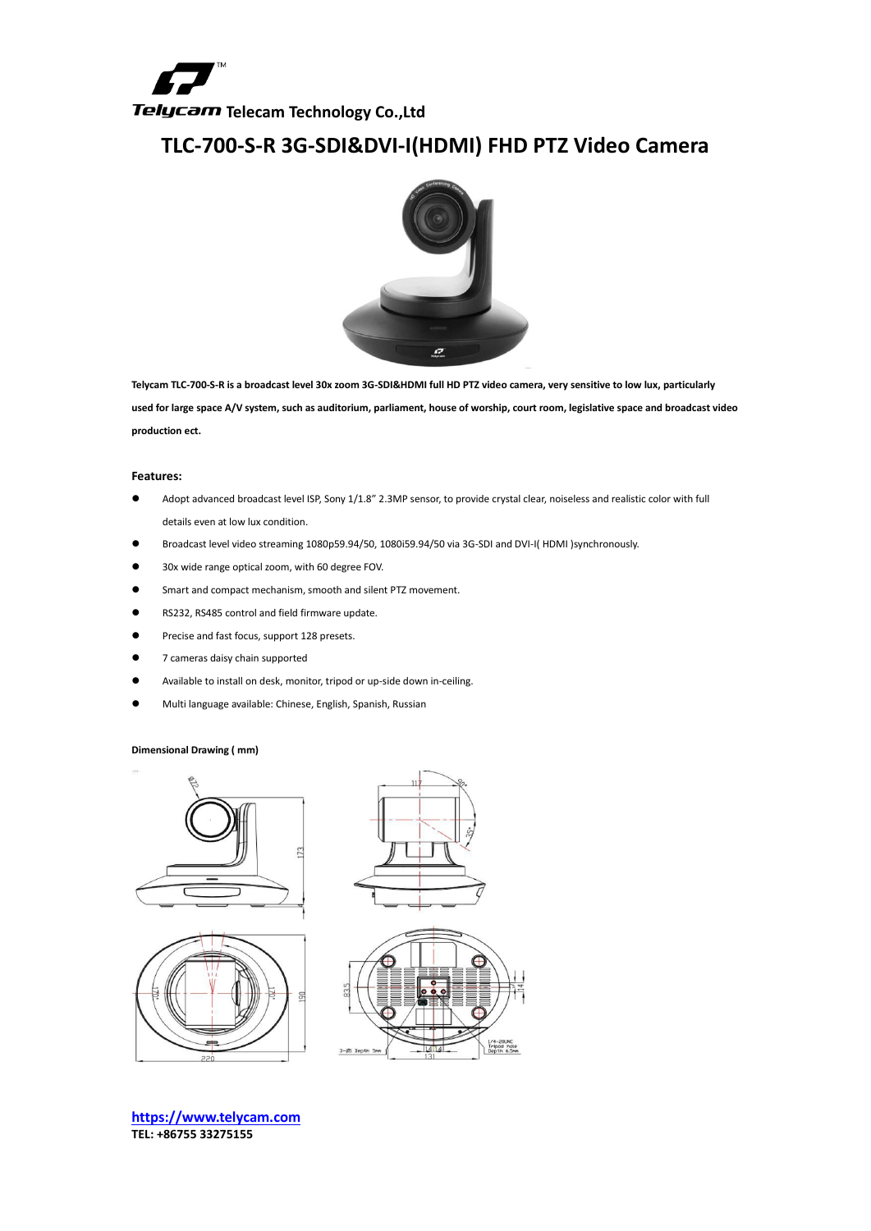

## **TLC-700-S-R 3G-SDI&DVI-I(HDMI) FHD PTZ Video Camera**



**Telycam TLC-700-S-R is a broadcast level 30x zoom 3G-SDI&HDMI full HD PTZ video camera, very sensitive to low lux, particularly used for large space A/V system, such as auditorium, parliament, house of worship, court room, legislative space and broadcast video production ect.** 

## **Features:**

- Adopt advanced broadcast level ISP, Sony 1/1.8" 2.3MP sensor, to provide crystal clear, noiseless and realistic color with full details even at low lux condition.
- Broadcast level video streaming 1080p59.94/50, 1080i59.94/50 via 3G-SDI and DVI-I( HDMI )synchronously.
- 30x wide range optical zoom, with 60 degree FOV.
- Smart and compact mechanism, smooth and silent PTZ movement.
- RS232, RS485 control and field firmware update.
- **•** Precise and fast focus, support 128 presets.
- 7 cameras daisy chain supported
- Available to install on desk, monitor, tripod or up-side down in-ceiling.
- Multi language available: Chinese, English, Spanish, Russian

## **Dimensional Drawing ( mm)**









**[https://www.telycam.com](https://www.telycam.com/) TEL: +86755 33275155**